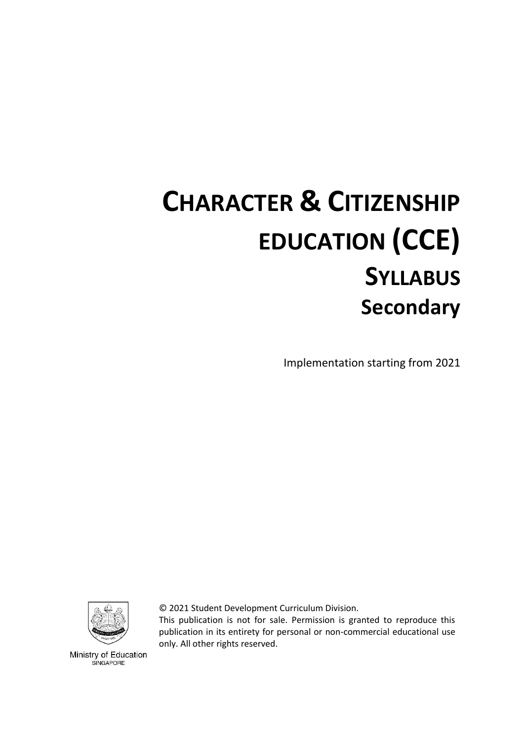# **CHARACTER & CITIZENSHIP EDUCATION (CCE) SYLLABUS Secondary**

Implementation starting from 2021



© 2021 Student Development Curriculum Division.

This publication is not for sale. Permission is granted to reproduce this publication in its entirety for personal or non-commercial educational use only. All other rights reserved.

Ministry of Education SINGAPORE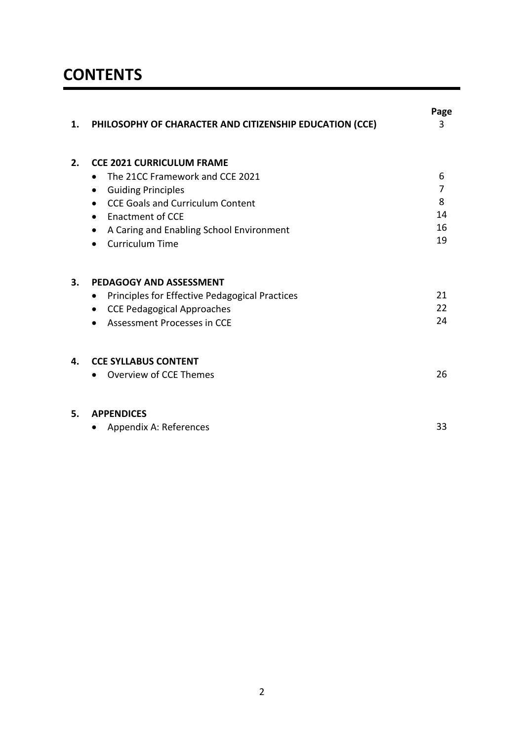# **CONTENTS**

| 1. | PHILOSOPHY OF CHARACTER AND CITIZENSHIP EDUCATION (CCE) | Page<br>3 |
|----|---------------------------------------------------------|-----------|
| 2. | <b>CCE 2021 CURRICULUM FRAME</b>                        |           |
|    | The 21CC Framework and CCE 2021                         | 6         |
|    | <b>Guiding Principles</b><br>$\bullet$                  | 7         |
|    | <b>CCE Goals and Curriculum Content</b>                 | 8         |
|    | <b>Enactment of CCE</b>                                 | 14        |
|    | A Caring and Enabling School Environment                | 16        |
|    | <b>Curriculum Time</b>                                  | 19        |
| 3. | <b>PEDAGOGY AND ASSESSMENT</b>                          |           |
|    | Principles for Effective Pedagogical Practices<br>٠     | 21        |
|    | <b>CCE Pedagogical Approaches</b>                       | 22        |
|    | Assessment Processes in CCE                             | 24        |
| 4. | <b>CCE SYLLABUS CONTENT</b>                             |           |
|    | <b>Overview of CCE Themes</b>                           | 26        |
| 5. | <b>APPENDICES</b>                                       |           |
|    | Appendix A: References                                  | 33        |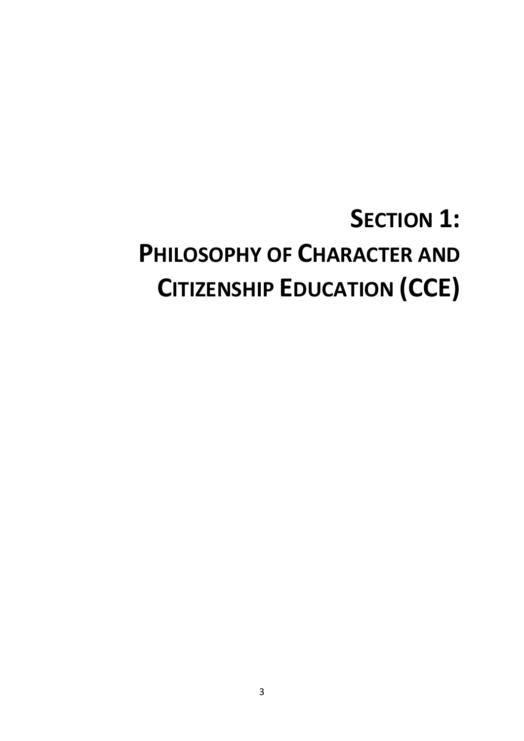# **SECTION 1: PHILOSOPHY OF CHARACTER AND CITIZENSHIP EDUCATION (CCE)**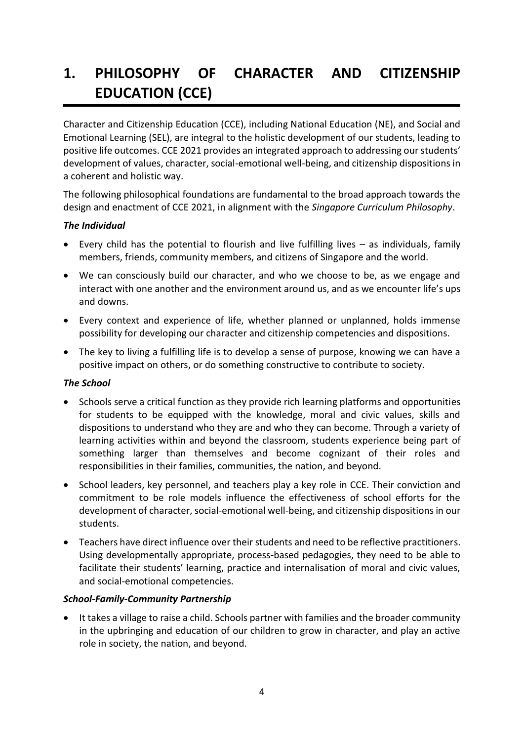# **1. PHILOSOPHY OF CHARACTER AND CITIZENSHIP EDUCATION (CCE)**

Character and Citizenship Education (CCE), including National Education (NE), and Social and Emotional Learning (SEL), are integral to the holistic development of our students, leading to positive life outcomes. CCE 2021 provides an integrated approach to addressing our students' development of values, character, social-emotional well-being, and citizenship dispositions in a coherent and holistic way.

The following philosophical foundations are fundamental to the broad approach towards the design and enactment of CCE 2021, in alignment with the *Singapore Curriculum Philosophy*.

# *The Individual*

- Every child has the potential to flourish and live fulfilling lives as individuals, family members, friends, community members, and citizens of Singapore and the world.
- We can consciously build our character, and who we choose to be, as we engage and interact with one another and the environment around us, and as we encounter life's ups and downs.
- Every context and experience of life, whether planned or unplanned, holds immense possibility for developing our character and citizenship competencies and dispositions.
- The key to living a fulfilling life is to develop a sense of purpose, knowing we can have a positive impact on others, or do something constructive to contribute to society.

#### *The School*

- Schools serve a critical function as they provide rich learning platforms and opportunities for students to be equipped with the knowledge, moral and civic values, skills and dispositions to understand who they are and who they can become. Through a variety of learning activities within and beyond the classroom, students experience being part of something larger than themselves and become cognizant of their roles and responsibilities in their families, communities, the nation, and beyond.
- School leaders, key personnel, and teachers play a key role in CCE. Their conviction and commitment to be role models influence the effectiveness of school efforts for the development of character, social-emotional well-being, and citizenship dispositions in our students.
- Teachers have direct influence over their students and need to be reflective practitioners. Using developmentally appropriate, process-based pedagogies, they need to be able to facilitate their students' learning, practice and internalisation of moral and civic values, and social-emotional competencies.

#### *School-Family-Community Partnership*

• It takes a village to raise a child. Schools partner with families and the broader community in the upbringing and education of our children to grow in character, and play an active role in society, the nation, and beyond.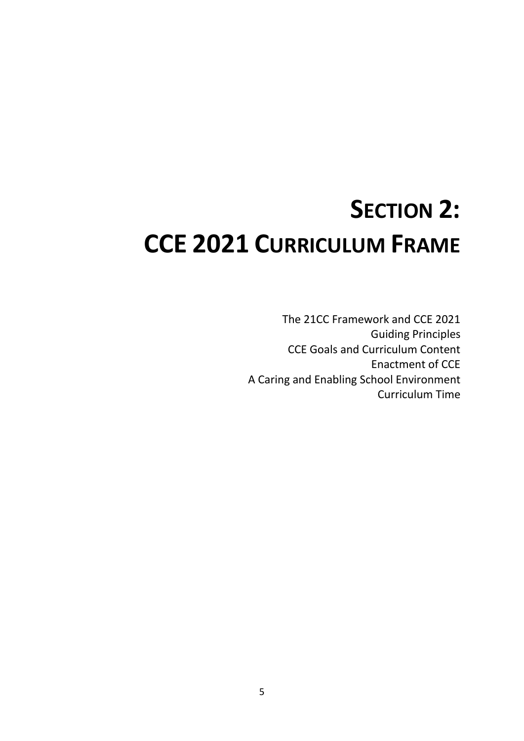# **SECTION 2: CCE 2021 CURRICULUM FRAME**

The 21CC Framework and CCE 2021 Guiding Principles CCE Goals and Curriculum Content Enactment of CCE A Caring and Enabling School Environment Curriculum Time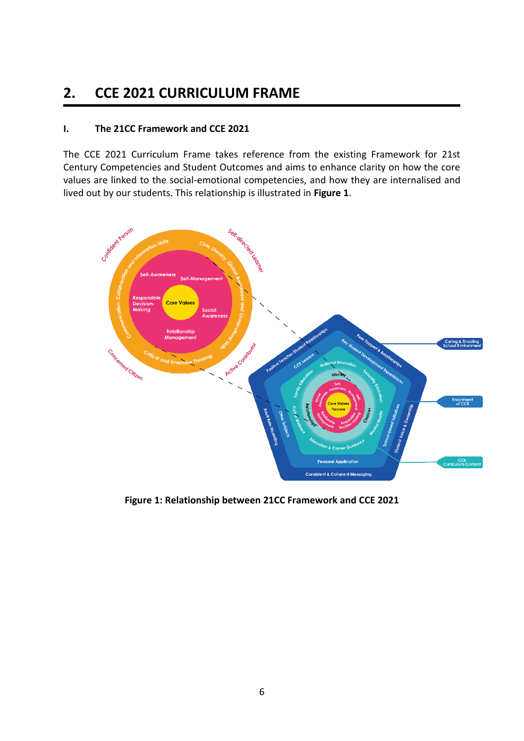# **2. CCE 2021 CURRICULUM FRAME**

# **I. The 21CC Framework and CCE 2021**

The CCE 2021 Curriculum Frame takes reference from the existing Framework for 21st Century Competencies and Student Outcomes and aims to enhance clarity on how the core values are linked to the social-emotional competencies, and how they are internalised and lived out by our students. This relationship is illustrated in **Figure 1**.



**Figure 1: Relationship between 21CC Framework and CCE 2021**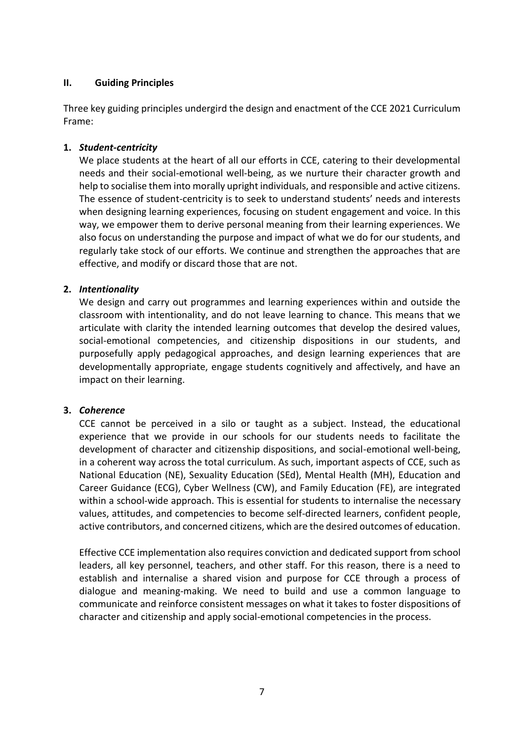## **II. Guiding Principles**

Three key guiding principles undergird the design and enactment of the CCE 2021 Curriculum Frame:

## **1.** *Student-centricity*

We place students at the heart of all our efforts in CCE, catering to their developmental needs and their social-emotional well-being, as we nurture their character growth and help to socialise them into morally upright individuals, and responsible and active citizens. The essence of student-centricity is to seek to understand students' needs and interests when designing learning experiences, focusing on student engagement and voice. In this way, we empower them to derive personal meaning from their learning experiences. We also focus on understanding the purpose and impact of what we do for our students, and regularly take stock of our efforts. We continue and strengthen the approaches that are effective, and modify or discard those that are not.

## **2.** *Intentionality*

We design and carry out programmes and learning experiences within and outside the classroom with intentionality, and do not leave learning to chance. This means that we articulate with clarity the intended learning outcomes that develop the desired values, social-emotional competencies, and citizenship dispositions in our students, and purposefully apply pedagogical approaches, and design learning experiences that are developmentally appropriate, engage students cognitively and affectively, and have an impact on their learning.

#### **3.** *Coherence*

CCE cannot be perceived in a silo or taught as a subject. Instead, the educational experience that we provide in our schools for our students needs to facilitate the development of character and citizenship dispositions, and social-emotional well-being, in a coherent way across the total curriculum. As such, important aspects of CCE, such as National Education (NE), Sexuality Education (SEd), Mental Health (MH), Education and Career Guidance (ECG), Cyber Wellness (CW), and Family Education (FE), are integrated within a school-wide approach. This is essential for students to internalise the necessary values, attitudes, and competencies to become self-directed learners, confident people, active contributors, and concerned citizens, which are the desired outcomes of education.

Effective CCE implementation also requires conviction and dedicated support from school leaders, all key personnel, teachers, and other staff. For this reason, there is a need to establish and internalise a shared vision and purpose for CCE through a process of dialogue and meaning-making. We need to build and use a common language to communicate and reinforce consistent messages on what it takes to foster dispositions of character and citizenship and apply social-emotional competencies in the process.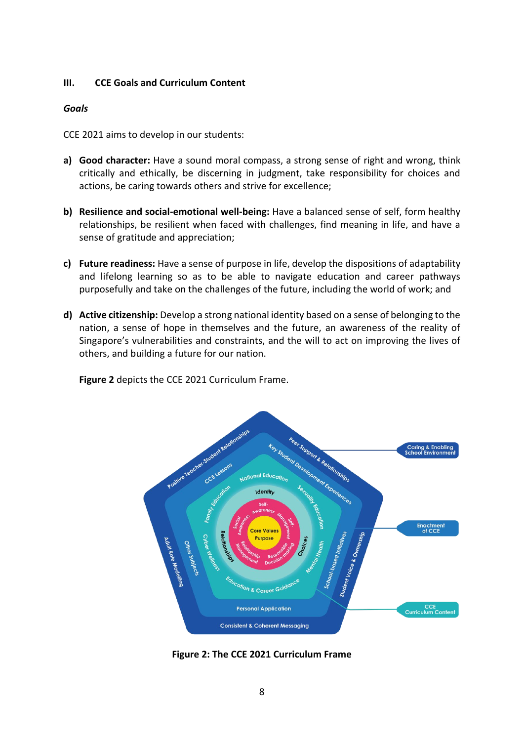#### **III. CCE Goals and Curriculum Content**

#### *Goals*

CCE 2021 aims to develop in our students:

- **a) Good character:** Have a sound moral compass, a strong sense of right and wrong, think critically and ethically, be discerning in judgment, take responsibility for choices and actions, be caring towards others and strive for excellence;
- **b) Resilience and social-emotional well-being:** Have a balanced sense of self, form healthy relationships, be resilient when faced with challenges, find meaning in life, and have a sense of gratitude and appreciation;
- **c) Future readiness:** Have a sense of purpose in life, develop the dispositions of adaptability and lifelong learning so as to be able to navigate education and career pathways purposefully and take on the challenges of the future, including the world of work; and
- **d)** Active citizenship: Develop a strong national identity based on a sense of belonging to the nation, a sense of hope in themselves and the future, an awareness of the reality of Singapore's vulnerabilities and constraints, and the will to act on improving the lives of others, and building a future for our nation.

**Figure 2** depicts the CCE 2021 Curriculum Frame.



**Figure 2: The CCE 2021 Curriculum Frame**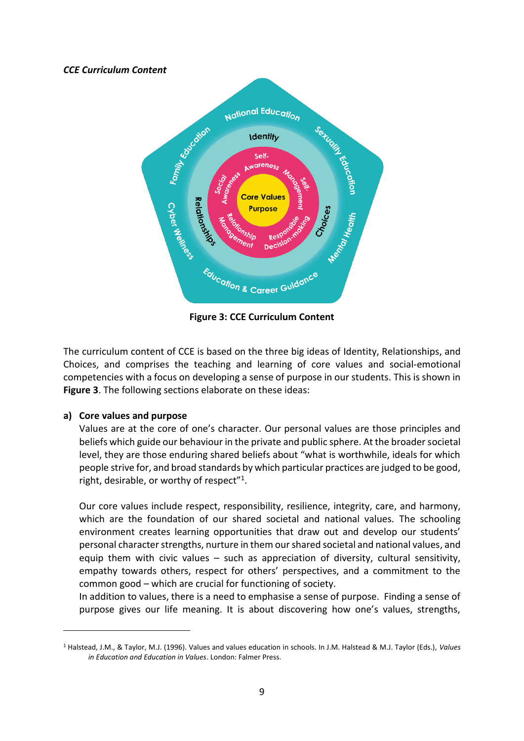#### *CCE Curriculum Content*



**Figure 3: CCE Curriculum Content**

The curriculum content of CCE is based on the three big ideas of Identity, Relationships, and Choices, and comprises the teaching and learning of core values and social-emotional competencies with a focus on developing a sense of purpose in our students. This is shown in **Figure 3**. The following sections elaborate on these ideas:

#### **a) Core values and purpose**

Values are at the core of one's character. Our personal values are those principles and beliefs which guide our behaviour in the private and public sphere. At the broader societal level, they are those enduring shared beliefs about "what is worthwhile, ideals for which people strive for, and broad standards by which particular practices are judged to be good, right, desirable, or worthy of respect"<sup>1</sup>.

Our core values include respect, responsibility, resilience, integrity, care, and harmony, which are the foundation of our shared societal and national values. The schooling environment creates learning opportunities that draw out and develop our students' personal character strengths, nurture in them our shared societal and national values, and equip them with civic values – such as appreciation of diversity, cultural sensitivity, empathy towards others, respect for others' perspectives, and a commitment to the common good – which are crucial for functioning of society.

In addition to values, there is a need to emphasise a sense of purpose. Finding a sense of purpose gives our life meaning. It is about discovering how one's values, strengths,

<sup>1</sup> Halstead, J.M., & Taylor, M.J. (1996). Values and values education in schools. In J.M. Halstead & M.J. Taylor (Eds.), *Values in Education and Education in Values*. London: Falmer Press.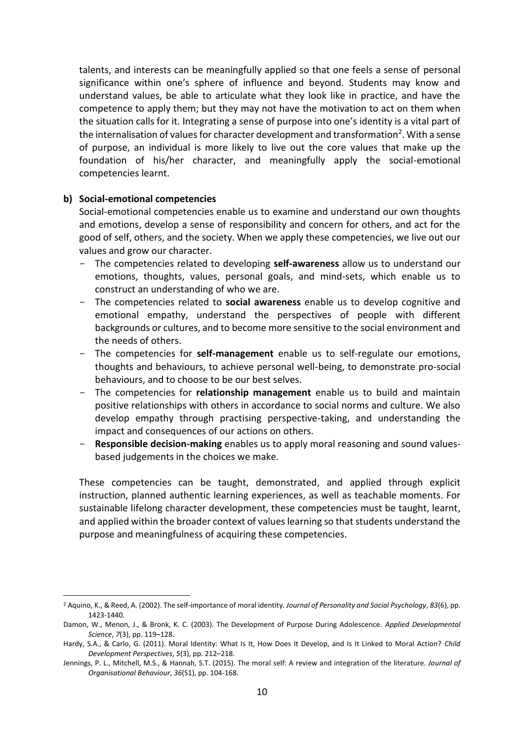talents, and interests can be meaningfully applied so that one feels a sense of personal significance within one's sphere of influence and beyond. Students may know and understand values, be able to articulate what they look like in practice, and have the competence to apply them; but they may not have the motivation to act on them when the situation calls for it. Integrating a sense of purpose into one's identity is a vital part of the internalisation of values for character development and transformation<sup>2</sup>. With a sense of purpose, an individual is more likely to live out the core values that make up the foundation of his/her character, and meaningfully apply the social-emotional competencies learnt.

#### **b) Social-emotional competencies**

Social-emotional competencies enable us to examine and understand our own thoughts and emotions, develop a sense of responsibility and concern for others, and act for the good of self, others, and the society. When we apply these competencies, we live out our values and grow our character.

- The competencies related to developing **self-awareness** allow us to understand our emotions, thoughts, values, personal goals, and mind-sets, which enable us to construct an understanding of who we are.
- The competencies related to **social awareness** enable us to develop cognitive and emotional empathy, understand the perspectives of people with different backgrounds or cultures, and to become more sensitive to the social environment and the needs of others.
- The competencies for **self-management** enable us to self-regulate our emotions, thoughts and behaviours, to achieve personal well-being, to demonstrate pro-social behaviours, and to choose to be our best selves.
- The competencies for **relationship management** enable us to build and maintain positive relationships with others in accordance to social norms and culture. We also develop empathy through practising perspective-taking, and understanding the impact and consequences of our actions on others.
- **Responsible decision-making** enables us to apply moral reasoning and sound valuesbased judgements in the choices we make.

These competencies can be taught, demonstrated, and applied through explicit instruction, planned authentic learning experiences, as well as teachable moments. For sustainable lifelong character development, these competencies must be taught, learnt, and applied within the broader context of values learning so that students understand the purpose and meaningfulness of acquiring these competencies.

<sup>2</sup> Aquino, K., & Reed, A. (2002). The self-importance of moral identity. *Journal of Personality and Social Psychology*, *83*(6), pp. 1423-1440.

Damon, W., Menon, J., & Bronk, K. C. (2003). The Development of Purpose During Adolescence. *Applied Developmental Science*, *7*(3), pp. 119–128.

Hardy, S.A., & Carlo, G. (2011). Moral Identity: What Is It, How Does It Develop, and Is It Linked to Moral Action? *Child Development Perspectives*, *5*(3), pp. 212–218.

Jennings, P. L., Mitchell, M.S., & Hannah, S.T. (2015). The moral self: A review and integration of the literature. *Journal of Organisational Behaviour*, *36*(S1), pp. 104-168.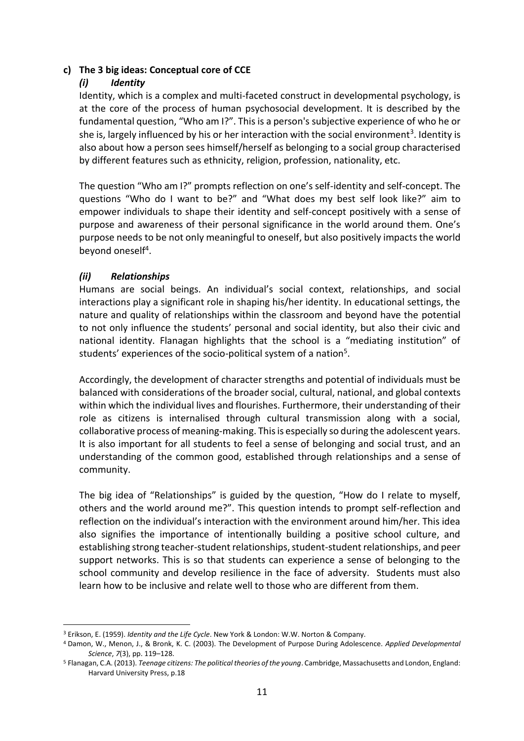## **c) The 3 big ideas: Conceptual core of CCE**

### *(i) Identity*

Identity, which is a complex and multi-faceted construct in developmental psychology, is at the core of the process of human psychosocial development. It is described by the fundamental question, "Who am I?". This is a person's subjective experience of who he or she is, largely influenced by his or her interaction with the social environment<sup>3</sup>. Identity is also about how a person sees himself/herself as belonging to a social group characterised by different features such as ethnicity, religion, profession, nationality, etc.

The question "Who am I?" prompts reflection on one's self-identity and self-concept. The questions "Who do I want to be?" and "What does my best self look like?" aim to empower individuals to shape their identity and self-concept positively with a sense of purpose and awareness of their personal significance in the world around them. One's purpose needs to be not only meaningful to oneself, but also positively impacts the world beyond oneself<sup>4</sup>.

# *(ii) Relationships*

Humans are social beings. An individual's social context, relationships, and social interactions play a significant role in shaping his/her identity. In educational settings, the nature and quality of relationships within the classroom and beyond have the potential to not only influence the students' personal and social identity, but also their civic and national identity. Flanagan highlights that the school is a "mediating institution" of students' experiences of the socio-political system of a nation<sup>5</sup>.

Accordingly, the development of character strengths and potential of individuals must be balanced with considerations of the broader social, cultural, national, and global contexts within which the individual lives and flourishes. Furthermore, their understanding of their role as citizens is internalised through cultural transmission along with a social, collaborative process of meaning-making. This is especially so during the adolescent years. It is also important for all students to feel a sense of belonging and social trust, and an understanding of the common good, established through relationships and a sense of community.

The big idea of "Relationships" is guided by the question, "How do I relate to myself, others and the world around me?". This question intends to prompt self-reflection and reflection on the individual's interaction with the environment around him/her. This idea also signifies the importance of intentionally building a positive school culture, and establishing strong teacher-student relationships, student-student relationships, and peer support networks. This is so that students can experience a sense of belonging to the school community and develop resilience in the face of adversity. Students must also learn how to be inclusive and relate well to those who are different from them.

<sup>3</sup> Erikson, E. (1959). *Identity and the Life Cycle*. New York & London: W.W. Norton & Company.

<sup>4</sup> Damon, W., Menon, J., & Bronk, K. C. (2003). The Development of Purpose During Adolescence. *Applied Developmental Science*, *7*(3), pp. 119–128.

<sup>5</sup> Flanagan, C.A. (2013). *Teenage citizens: The political theories of the young*. Cambridge, Massachusetts and London, England: Harvard University Press, p.18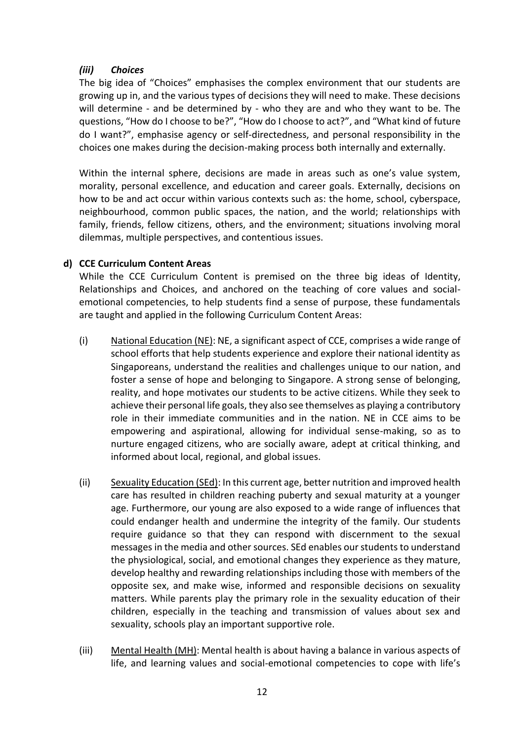# *(iii) Choices*

The big idea of "Choices" emphasises the complex environment that our students are growing up in, and the various types of decisions they will need to make. These decisions will determine - and be determined by - who they are and who they want to be. The questions, "How do I choose to be?", "How do I choose to act?", and "What kind of future do I want?", emphasise agency or self-directedness, and personal responsibility in the choices one makes during the decision-making process both internally and externally.

Within the internal sphere, decisions are made in areas such as one's value system, morality, personal excellence, and education and career goals. Externally, decisions on how to be and act occur within various contexts such as: the home, school, cyberspace, neighbourhood, common public spaces, the nation, and the world; relationships with family, friends, fellow citizens, others, and the environment; situations involving moral dilemmas, multiple perspectives, and contentious issues.

# **d) CCE Curriculum Content Areas**

While the CCE Curriculum Content is premised on the three big ideas of Identity, Relationships and Choices, and anchored on the teaching of core values and socialemotional competencies, to help students find a sense of purpose, these fundamentals are taught and applied in the following Curriculum Content Areas:

- (i) National Education (NE): NE, a significant aspect of CCE, comprises a wide range of school efforts that help students experience and explore their national identity as Singaporeans, understand the realities and challenges unique to our nation, and foster a sense of hope and belonging to Singapore. A strong sense of belonging, reality, and hope motivates our students to be active citizens. While they seek to achieve their personal life goals, they also see themselves as playing a contributory role in their immediate communities and in the nation. NE in CCE aims to be empowering and aspirational, allowing for individual sense-making, so as to nurture engaged citizens, who are socially aware, adept at critical thinking, and informed about local, regional, and global issues.
- (ii) Sexuality Education (SEd): In this current age, better nutrition and improved health care has resulted in children reaching puberty and sexual maturity at a younger age. Furthermore, our young are also exposed to a wide range of influences that could endanger health and undermine the integrity of the family. Our students require guidance so that they can respond with discernment to the sexual messages in the media and other sources. SEd enables our students to understand the physiological, social, and emotional changes they experience as they mature, develop healthy and rewarding relationships including those with members of the opposite sex, and make wise, informed and responsible decisions on sexuality matters. While parents play the primary role in the sexuality education of their children, especially in the teaching and transmission of values about sex and sexuality, schools play an important supportive role.
- (iii) Mental Health (MH): Mental health is about having a balance in various aspects of life, and learning values and social-emotional competencies to cope with life's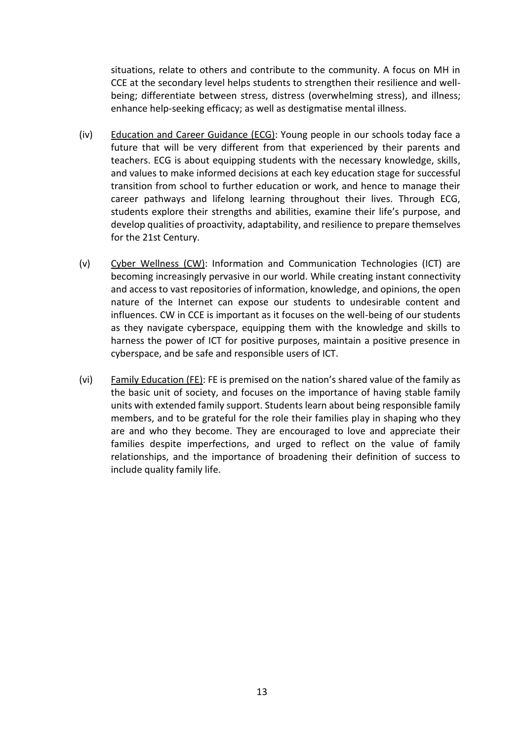situations, relate to others and contribute to the community. A focus on MH in CCE at the secondary level helps students to strengthen their resilience and wellbeing; differentiate between stress, distress (overwhelming stress), and illness; enhance help-seeking efficacy; as well as destigmatise mental illness.

- (iv) Education and Career Guidance (ECG): Young people in our schools today face a future that will be very different from that experienced by their parents and teachers. ECG is about equipping students with the necessary knowledge, skills, and values to make informed decisions at each key education stage for successful transition from school to further education or work, and hence to manage their career pathways and lifelong learning throughout their lives. Through ECG, students explore their strengths and abilities, examine their life's purpose, and develop qualities of proactivity, adaptability, and resilience to prepare themselves for the 21st Century.
- (v) Cyber Wellness (CW): Information and Communication Technologies (ICT) are becoming increasingly pervasive in our world. While creating instant connectivity and access to vast repositories of information, knowledge, and opinions, the open nature of the Internet can expose our students to undesirable content and influences. CW in CCE is important as it focuses on the well-being of our students as they navigate cyberspace, equipping them with the knowledge and skills to harness the power of ICT for positive purposes, maintain a positive presence in cyberspace, and be safe and responsible users of ICT.
- (vi) Family Education (FE): FE is premised on the nation's shared value of the family as the basic unit of society, and focuses on the importance of having stable family units with extended family support. Students learn about being responsible family members, and to be grateful for the role their families play in shaping who they are and who they become. They are encouraged to love and appreciate their families despite imperfections, and urged to reflect on the value of family relationships, and the importance of broadening their definition of success to include quality family life.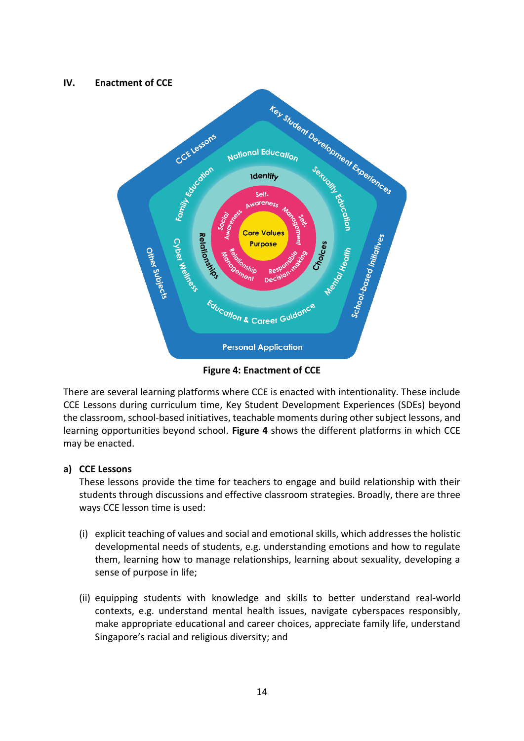# **IV. Enactment of CCE Key Student Development Experiences** CCELessons National Education **Identify** Self-Family, <sub>N</sub>arene<sub>ss</sub> **Core Values Relatio<sup>tsy</sup>** Cyber Wer Other Subjects **Purpose** Education & Career Guidance **Personal Application**

**Figure 4: Enactment of CCE**

There are several learning platforms where CCE is enacted with intentionality. These include CCE Lessons during curriculum time, Key Student Development Experiences (SDEs) beyond the classroom, school-based initiatives, teachable moments during other subject lessons, and learning opportunities beyond school. **Figure 4** shows the different platforms in which CCE may be enacted.

# **a) CCE Lessons**

These lessons provide the time for teachers to engage and build relationship with their students through discussions and effective classroom strategies. Broadly, there are three ways CCE lesson time is used:

- (i) explicit teaching of values and social and emotional skills, which addressesthe holistic developmental needs of students, e.g. understanding emotions and how to regulate them, learning how to manage relationships, learning about sexuality, developing a sense of purpose in life;
- (ii) equipping students with knowledge and skills to better understand real-world contexts, e.g. understand mental health issues, navigate cyberspaces responsibly, make appropriate educational and career choices, appreciate family life, understand Singapore's racial and religious diversity; and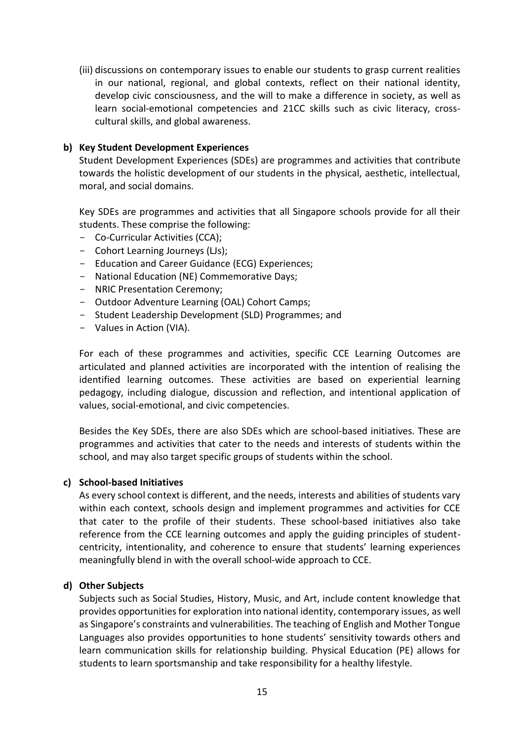(iii) discussions on contemporary issues to enable our students to grasp current realities in our national, regional, and global contexts, reflect on their national identity, develop civic consciousness, and the will to make a difference in society, as well as learn social-emotional competencies and 21CC skills such as civic literacy, crosscultural skills, and global awareness.

#### **b) Key Student Development Experiences**

Student Development Experiences (SDEs) are programmes and activities that contribute towards the holistic development of our students in the physical, aesthetic, intellectual, moral, and social domains.

Key SDEs are programmes and activities that all Singapore schools provide for all their students. These comprise the following:

- Co-Curricular Activities (CCA);
- Cohort Learning Journeys (LJs);
- Education and Career Guidance (ECG) Experiences;
- National Education (NE) Commemorative Days;
- NRIC Presentation Ceremony;
- Outdoor Adventure Learning (OAL) Cohort Camps;
- Student Leadership Development (SLD) Programmes; and
- Values in Action (VIA).

For each of these programmes and activities, specific CCE Learning Outcomes are articulated and planned activities are incorporated with the intention of realising the identified learning outcomes. These activities are based on experiential learning pedagogy, including dialogue, discussion and reflection, and intentional application of values, social-emotional, and civic competencies.

Besides the Key SDEs, there are also SDEs which are school-based initiatives. These are programmes and activities that cater to the needs and interests of students within the school, and may also target specific groups of students within the school.

#### **c) School-based Initiatives**

As every school context is different, and the needs, interests and abilities of students vary within each context, schools design and implement programmes and activities for CCE that cater to the profile of their students. These school-based initiatives also take reference from the CCE learning outcomes and apply the guiding principles of studentcentricity, intentionality, and coherence to ensure that students' learning experiences meaningfully blend in with the overall school-wide approach to CCE.

#### **d) Other Subjects**

Subjects such as Social Studies, History, Music, and Art, include content knowledge that provides opportunities for exploration into national identity, contemporary issues, as well as Singapore's constraints and vulnerabilities. The teaching of English and Mother Tongue Languages also provides opportunities to hone students' sensitivity towards others and learn communication skills for relationship building. Physical Education (PE) allows for students to learn sportsmanship and take responsibility for a healthy lifestyle.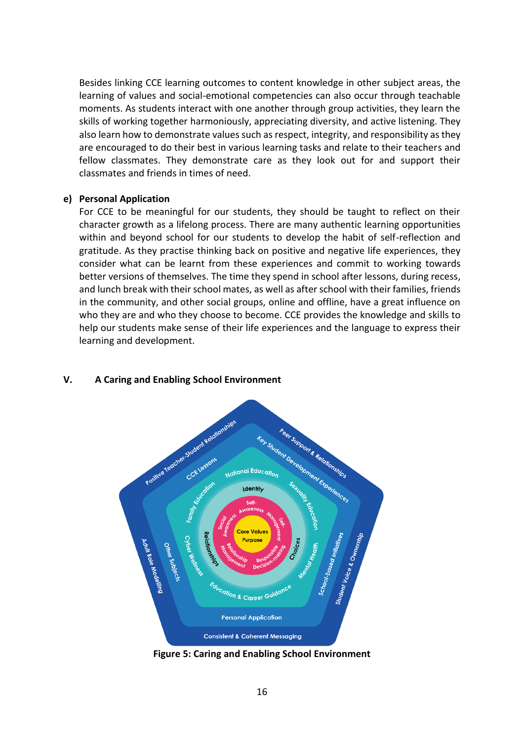Besides linking CCE learning outcomes to content knowledge in other subject areas, the learning of values and social-emotional competencies can also occur through teachable moments. As students interact with one another through group activities, they learn the skills of working together harmoniously, appreciating diversity, and active listening. They also learn how to demonstrate values such as respect, integrity, and responsibility as they are encouraged to do their best in various learning tasks and relate to their teachers and fellow classmates. They demonstrate care as they look out for and support their classmates and friends in times of need.

#### **e) Personal Application**

For CCE to be meaningful for our students, they should be taught to reflect on their character growth as a lifelong process. There are many authentic learning opportunities within and beyond school for our students to develop the habit of self-reflection and gratitude. As they practise thinking back on positive and negative life experiences, they consider what can be learnt from these experiences and commit to working towards better versions of themselves. The time they spend in school after lessons, during recess, and lunch break with their school mates, as well as after school with their families, friends in the community, and other social groups, online and offline, have a great influence on who they are and who they choose to become. CCE provides the knowledge and skills to help our students make sense of their life experiences and the language to express their learning and development.



#### **V. A Caring and Enabling School Environment**

**Figure 5: Caring and Enabling School Environment**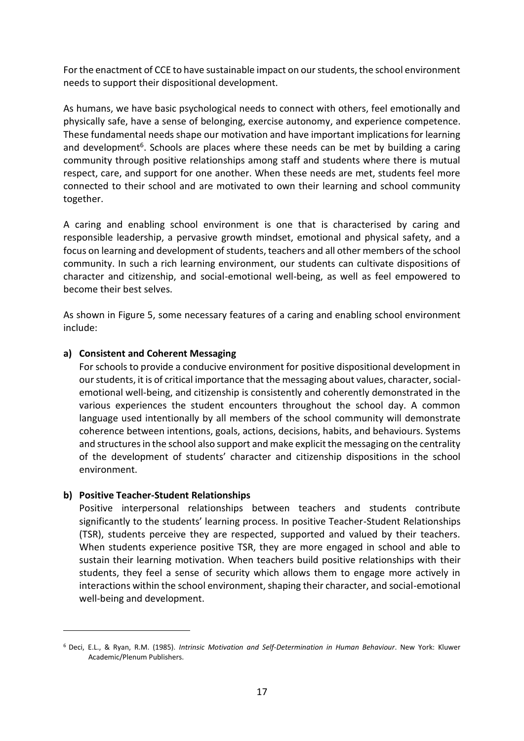For the enactment of CCE to have sustainable impact on our students, the school environment needs to support their dispositional development.

As humans, we have basic psychological needs to connect with others, feel emotionally and physically safe, have a sense of belonging, exercise autonomy, and experience competence. These fundamental needs shape our motivation and have important implications for learning and development<sup>6</sup>. Schools are places where these needs can be met by building a caring community through positive relationships among staff and students where there is mutual respect, care, and support for one another. When these needs are met, students feel more connected to their school and are motivated to own their learning and school community together.

A caring and enabling school environment is one that is characterised by caring and responsible leadership, a pervasive growth mindset, emotional and physical safety, and a focus on learning and development of students, teachers and all other members of the school community. In such a rich learning environment, our students can cultivate dispositions of character and citizenship, and social-emotional well-being, as well as feel empowered to become their best selves.

As shown in Figure 5, some necessary features of a caring and enabling school environment include:

## **a) Consistent and Coherent Messaging**

For schools to provide a conducive environment for positive dispositional development in our students, it is of critical importance that the messaging about values, character, socialemotional well-being, and citizenship is consistently and coherently demonstrated in the various experiences the student encounters throughout the school day. A common language used intentionally by all members of the school community will demonstrate coherence between intentions, goals, actions, decisions, habits, and behaviours. Systems and structures in the school also support and make explicit the messaging on the centrality of the development of students' character and citizenship dispositions in the school environment.

#### **b) Positive Teacher-Student Relationships**

Positive interpersonal relationships between teachers and students contribute significantly to the students' learning process. In positive Teacher-Student Relationships (TSR), students perceive they are respected, supported and valued by their teachers. When students experience positive TSR, they are more engaged in school and able to sustain their learning motivation. When teachers build positive relationships with their students, they feel a sense of security which allows them to engage more actively in interactions within the school environment, shaping their character, and social-emotional well-being and development.

<sup>6</sup> Deci, E.L., & Ryan, R.M. (1985). *Intrinsic Motivation and Self-Determination in Human Behaviour*. New York: Kluwer Academic/Plenum Publishers.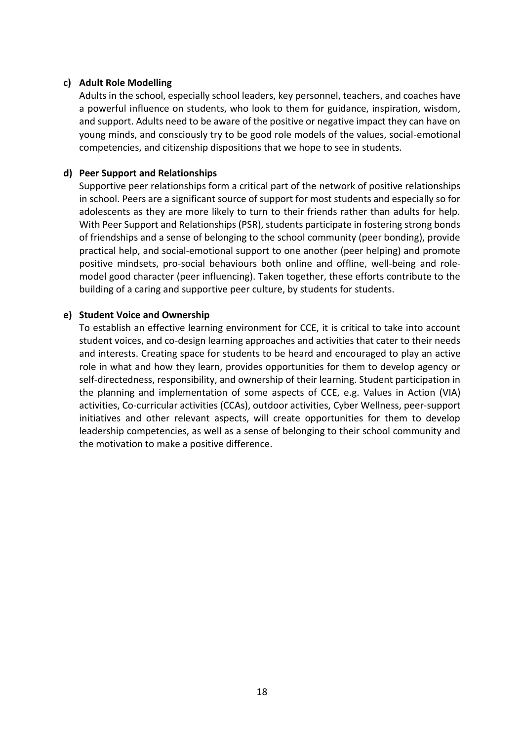#### **c) Adult Role Modelling**

Adults in the school, especially school leaders, key personnel, teachers, and coaches have a powerful influence on students, who look to them for guidance, inspiration, wisdom, and support. Adults need to be aware of the positive or negative impact they can have on young minds, and consciously try to be good role models of the values, social-emotional competencies, and citizenship dispositions that we hope to see in students.

## **d) Peer Support and Relationships**

Supportive peer relationships form a critical part of the network of positive relationships in school. Peers are a significant source of support for most students and especially so for adolescents as they are more likely to turn to their friends rather than adults for help. With Peer Support and Relationships (PSR), students participate in fostering strong bonds of friendships and a sense of belonging to the school community (peer bonding), provide practical help, and social-emotional support to one another (peer helping) and promote positive mindsets, pro-social behaviours both online and offline, well-being and rolemodel good character (peer influencing). Taken together, these efforts contribute to the building of a caring and supportive peer culture, by students for students.

## **e) Student Voice and Ownership**

To establish an effective learning environment for CCE, it is critical to take into account student voices, and co-design learning approaches and activities that cater to their needs and interests. Creating space for students to be heard and encouraged to play an active role in what and how they learn, provides opportunities for them to develop agency or self-directedness, responsibility, and ownership of their learning. Student participation in the planning and implementation of some aspects of CCE, e.g. Values in Action (VIA) activities, Co-curricular activities (CCAs), outdoor activities, Cyber Wellness, peer-support initiatives and other relevant aspects, will create opportunities for them to develop leadership competencies, as well as a sense of belonging to their school community and the motivation to make a positive difference.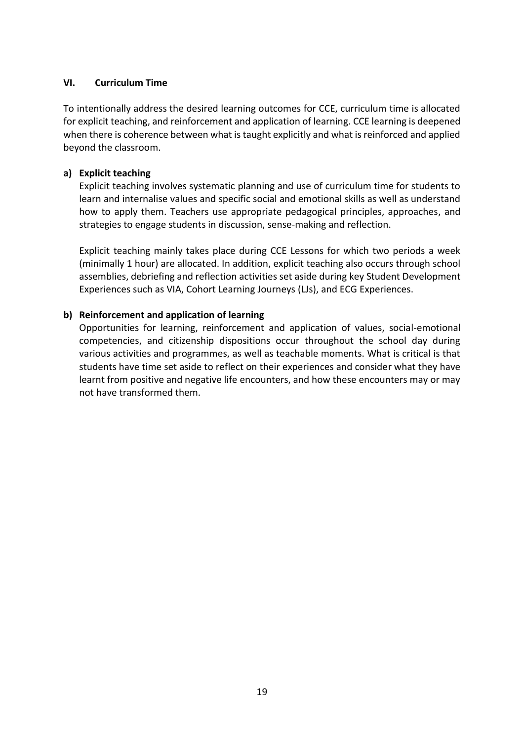#### **VI. Curriculum Time**

To intentionally address the desired learning outcomes for CCE, curriculum time is allocated for explicit teaching, and reinforcement and application of learning. CCE learning is deepened when there is coherence between what is taught explicitly and what is reinforced and applied beyond the classroom.

## **a) Explicit teaching**

Explicit teaching involves systematic planning and use of curriculum time for students to learn and internalise values and specific social and emotional skills as well as understand how to apply them. Teachers use appropriate pedagogical principles, approaches, and strategies to engage students in discussion, sense-making and reflection.

Explicit teaching mainly takes place during CCE Lessons for which two periods a week (minimally 1 hour) are allocated. In addition, explicit teaching also occurs through school assemblies, debriefing and reflection activities set aside during key Student Development Experiences such as VIA, Cohort Learning Journeys (LJs), and ECG Experiences.

# **b) Reinforcement and application of learning**

Opportunities for learning, reinforcement and application of values, social-emotional competencies, and citizenship dispositions occur throughout the school day during various activities and programmes, as well as teachable moments. What is critical is that students have time set aside to reflect on their experiences and consider what they have learnt from positive and negative life encounters, and how these encounters may or may not have transformed them.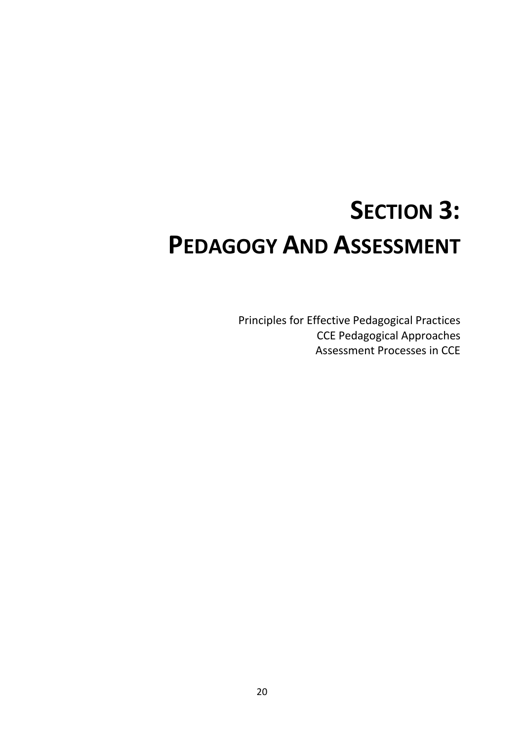# **SECTION 3: PEDAGOGY AND ASSESSMENT**

Principles for Effective Pedagogical Practices CCE Pedagogical Approaches Assessment Processes in CCE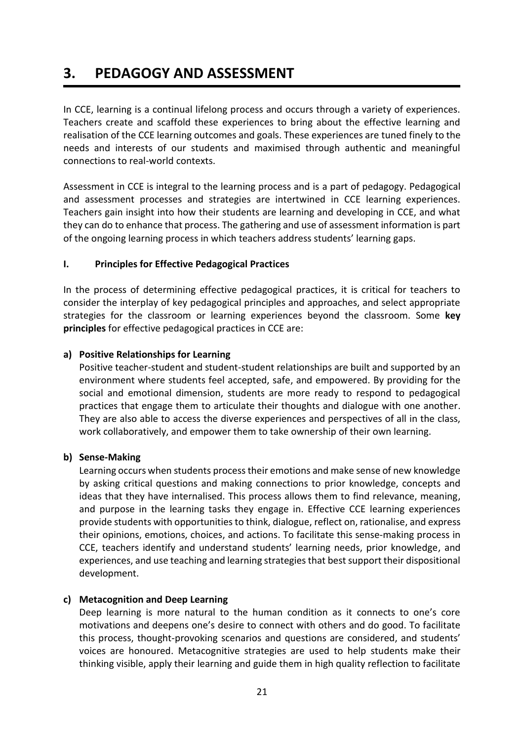# **3. PEDAGOGY AND ASSESSMENT**

In CCE, learning is a continual lifelong process and occurs through a variety of experiences. Teachers create and scaffold these experiences to bring about the effective learning and realisation of the CCE learning outcomes and goals. These experiences are tuned finely to the needs and interests of our students and maximised through authentic and meaningful connections to real-world contexts.

Assessment in CCE is integral to the learning process and is a part of pedagogy. Pedagogical and assessment processes and strategies are intertwined in CCE learning experiences. Teachers gain insight into how their students are learning and developing in CCE, and what they can do to enhance that process. The gathering and use of assessment information is part of the ongoing learning process in which teachers address students' learning gaps.

# **I. Principles for Effective Pedagogical Practices**

In the process of determining effective pedagogical practices, it is critical for teachers to consider the interplay of key pedagogical principles and approaches, and select appropriate strategies for the classroom or learning experiences beyond the classroom. Some **key principles** for effective pedagogical practices in CCE are:

# **a) Positive Relationships for Learning**

Positive teacher-student and student-student relationships are built and supported by an environment where students feel accepted, safe, and empowered. By providing for the social and emotional dimension, students are more ready to respond to pedagogical practices that engage them to articulate their thoughts and dialogue with one another. They are also able to access the diverse experiences and perspectives of all in the class, work collaboratively, and empower them to take ownership of their own learning.

# **b) Sense-Making**

Learning occurs when students process their emotions and make sense of new knowledge by asking critical questions and making connections to prior knowledge, concepts and ideas that they have internalised. This process allows them to find relevance, meaning, and purpose in the learning tasks they engage in. Effective CCE learning experiences provide students with opportunities to think, dialogue, reflect on, rationalise, and express their opinions, emotions, choices, and actions. To facilitate this sense-making process in CCE, teachers identify and understand students' learning needs, prior knowledge, and experiences, and use teaching and learning strategies that best support their dispositional development.

# **c) Metacognition and Deep Learning**

Deep learning is more natural to the human condition as it connects to one's core motivations and deepens one's desire to connect with others and do good. To facilitate this process, thought-provoking scenarios and questions are considered, and students' voices are honoured. Metacognitive strategies are used to help students make their thinking visible, apply their learning and guide them in high quality reflection to facilitate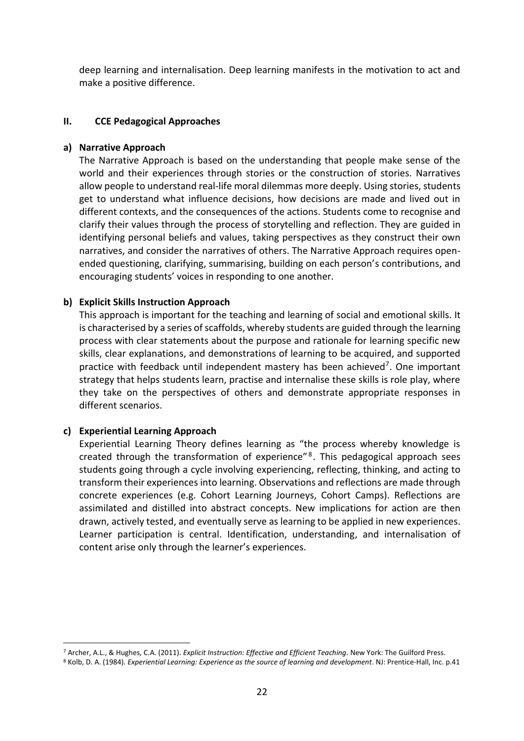deep learning and internalisation. Deep learning manifests in the motivation to act and make a positive difference.

## **II. CCE Pedagogical Approaches**

#### **a) Narrative Approach**

The Narrative Approach is based on the understanding that people make sense of the world and their experiences through stories or the construction of stories. Narratives allow people to understand real-life moral dilemmas more deeply. Using stories, students get to understand what influence decisions, how decisions are made and lived out in different contexts, and the consequences of the actions. Students come to recognise and clarify their values through the process of storytelling and reflection. They are guided in identifying personal beliefs and values, taking perspectives as they construct their own narratives, and consider the narratives of others. The Narrative Approach requires openended questioning, clarifying, summarising, building on each person's contributions, and encouraging students' voices in responding to one another.

# **b) Explicit Skills Instruction Approach**

This approach is important for the teaching and learning of social and emotional skills. It is characterised by a series of scaffolds, whereby students are guided through the learning process with clear statements about the purpose and rationale for learning specific new skills, clear explanations, and demonstrations of learning to be acquired, and supported practice with feedback until independent mastery has been achieved<sup>7</sup>. One important strategy that helps students learn, practise and internalise these skills is role play, where they take on the perspectives of others and demonstrate appropriate responses in different scenarios.

# **c) Experiential Learning Approach**

Experiential Learning Theory defines learning as "the process whereby knowledge is created through the transformation of experience"<sup>8</sup>. This pedagogical approach sees students going through a cycle involving experiencing, reflecting, thinking, and acting to transform their experiences into learning. Observations and reflections are made through concrete experiences (e.g. Cohort Learning Journeys, Cohort Camps). Reflections are assimilated and distilled into abstract concepts. New implications for action are then drawn, actively tested, and eventually serve as learning to be applied in new experiences. Learner participation is central. Identification, understanding, and internalisation of content arise only through the learner's experiences.

<sup>7</sup> Archer, A.L., & Hughes, C.A. (2011). *Explicit Instruction: Effective and Efficient Teaching*. New York: The Guilford Press.

<sup>8</sup> Kolb, D. A. (1984)*. Experiential Learning: Experience as the source of learning and development*. NJ: Prentice-Hall, Inc. p.41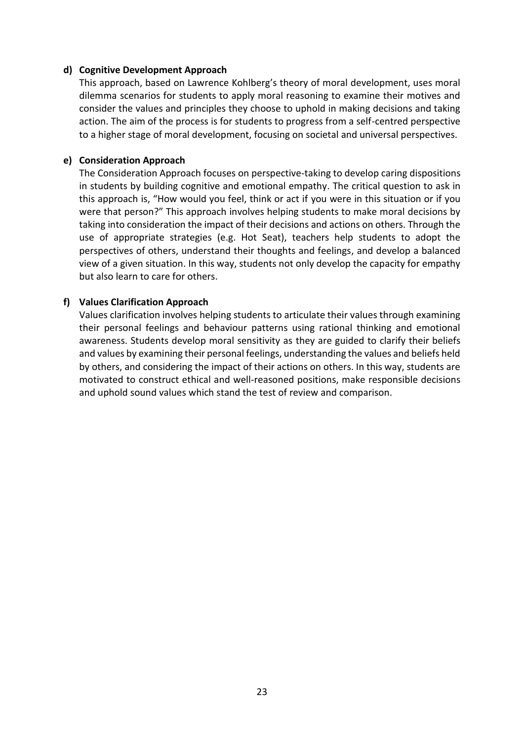#### **d) Cognitive Development Approach**

This approach, based on Lawrence Kohlberg's theory of moral development, uses moral dilemma scenarios for students to apply moral reasoning to examine their motives and consider the values and principles they choose to uphold in making decisions and taking action. The aim of the process is for students to progress from a self-centred perspective to a higher stage of moral development, focusing on societal and universal perspectives.

#### **e) Consideration Approach**

The Consideration Approach focuses on perspective-taking to develop caring dispositions in students by building cognitive and emotional empathy. The critical question to ask in this approach is, "How would you feel, think or act if you were in this situation or if you were that person?" This approach involves helping students to make moral decisions by taking into consideration the impact of their decisions and actions on others. Through the use of appropriate strategies (e.g. Hot Seat), teachers help students to adopt the perspectives of others, understand their thoughts and feelings, and develop a balanced view of a given situation. In this way, students not only develop the capacity for empathy but also learn to care for others.

## **f) Values Clarification Approach**

Values clarification involves helping students to articulate their values through examining their personal feelings and behaviour patterns using rational thinking and emotional awareness. Students develop moral sensitivity as they are guided to clarify their beliefs and values by examining their personal feelings, understanding the values and beliefs held by others, and considering the impact of their actions on others. In this way, students are motivated to construct ethical and well-reasoned positions, make responsible decisions and uphold sound values which stand the test of review and comparison.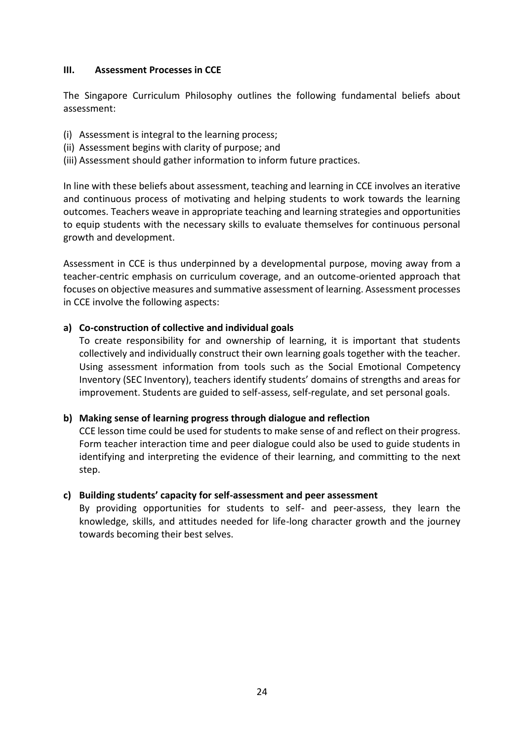### **III. Assessment Processes in CCE**

The Singapore Curriculum Philosophy outlines the following fundamental beliefs about assessment:

- (i) Assessment is integral to the learning process;
- (ii) Assessment begins with clarity of purpose; and
- (iii) Assessment should gather information to inform future practices.

In line with these beliefs about assessment, teaching and learning in CCE involves an iterative and continuous process of motivating and helping students to work towards the learning outcomes. Teachers weave in appropriate teaching and learning strategies and opportunities to equip students with the necessary skills to evaluate themselves for continuous personal growth and development.

Assessment in CCE is thus underpinned by a developmental purpose, moving away from a teacher-centric emphasis on curriculum coverage, and an outcome-oriented approach that focuses on objective measures and summative assessment of learning. Assessment processes in CCE involve the following aspects:

# **a) Co-construction of collective and individual goals**

To create responsibility for and ownership of learning, it is important that students collectively and individually construct their own learning goals together with the teacher. Using assessment information from tools such as the Social Emotional Competency Inventory (SEC Inventory), teachers identify students' domains of strengths and areas for improvement. Students are guided to self-assess, self-regulate, and set personal goals.

# **b) Making sense of learning progress through dialogue and reflection**

CCE lesson time could be used for students to make sense of and reflect on their progress. Form teacher interaction time and peer dialogue could also be used to guide students in identifying and interpreting the evidence of their learning, and committing to the next step.

# **c) Building students' capacity for self-assessment and peer assessment**

By providing opportunities for students to self- and peer-assess, they learn the knowledge, skills, and attitudes needed for life-long character growth and the journey towards becoming their best selves.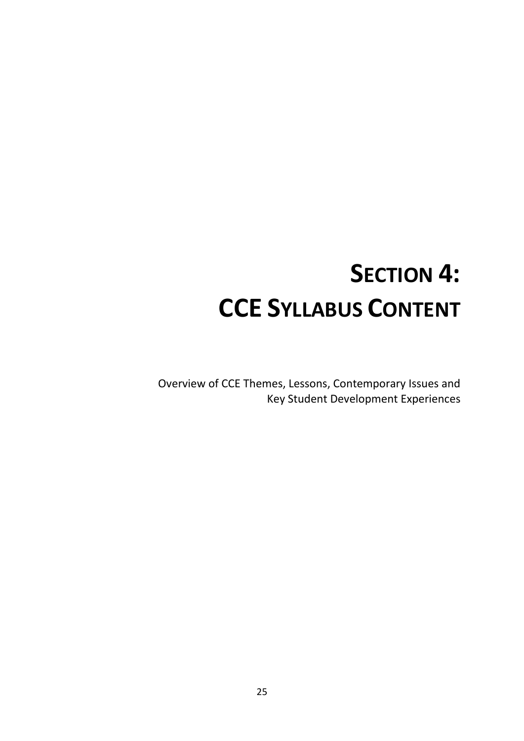# **SECTION 4: CCE SYLLABUS CONTENT**

Overview of CCE Themes, Lessons, Contemporary Issues and Key Student Development Experiences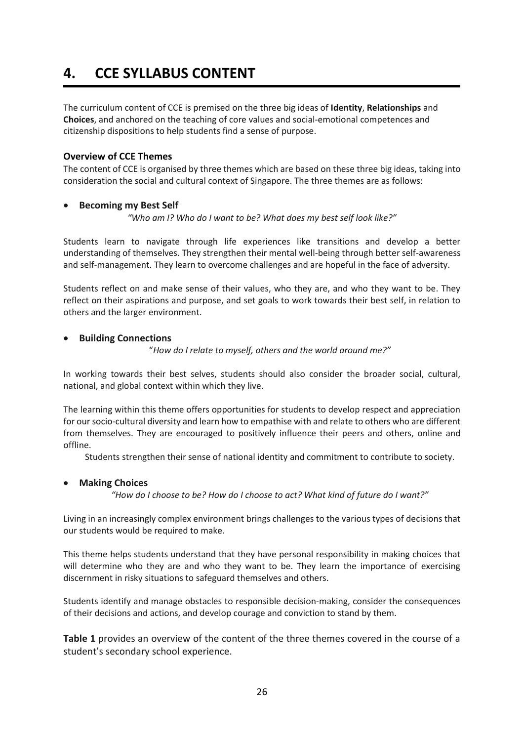# **4. CCE SYLLABUS CONTENT**

The curriculum content of CCE is premised on the three big ideas of **Identity**, **Relationships** and **Choices**, and anchored on the teaching of core values and social-emotional competences and citizenship dispositions to help students find a sense of purpose.

#### **Overview of CCE Themes**

The content of CCE is organised by three themes which are based on these three big ideas, taking into consideration the social and cultural context of Singapore. The three themes are as follows:

#### • **Becoming my Best Self**

*"Who am I? Who do I want to be? What does my best self look like?"*

Students learn to navigate through life experiences like transitions and develop a better understanding of themselves. They strengthen their mental well-being through better self-awareness and self-management. They learn to overcome challenges and are hopeful in the face of adversity.

Students reflect on and make sense of their values, who they are, and who they want to be. They reflect on their aspirations and purpose, and set goals to work towards their best self, in relation to others and the larger environment.

#### • **Building Connections**

"*How do I relate to myself, others and the world around me?"*

In working towards their best selves, students should also consider the broader social, cultural, national, and global context within which they live.

The learning within this theme offers opportunities for students to develop respect and appreciation for our socio-cultural diversity and learn how to empathise with and relate to others who are different from themselves. They are encouraged to positively influence their peers and others, online and offline.

Students strengthen their sense of national identity and commitment to contribute to society.

#### • **Making Choices**

*"How do I choose to be? How do I choose to act? What kind of future do I want?"*

Living in an increasingly complex environment brings challenges to the various types of decisions that our students would be required to make.

This theme helps students understand that they have personal responsibility in making choices that will determine who they are and who they want to be. They learn the importance of exercising discernment in risky situations to safeguard themselves and others.

Students identify and manage obstacles to responsible decision-making, consider the consequences of their decisions and actions, and develop courage and conviction to stand by them.

**Table 1** provides an overview of the content of the three themes covered in the course of a student's secondary school experience.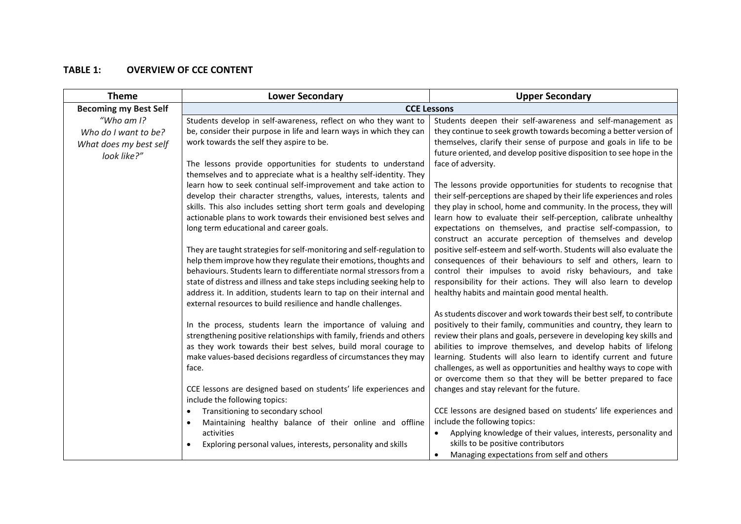## **TABLE 1: OVERVIEW OF CCE CONTENT**

| <b>Theme</b>                                                                   | <b>Lower Secondary</b>                                                                                                                                                                                                                                                                                                                                                                                                                                           | <b>Upper Secondary</b>                                                                                                                                                                                                                                                                                                                                                                                                                                                                                                                         |
|--------------------------------------------------------------------------------|------------------------------------------------------------------------------------------------------------------------------------------------------------------------------------------------------------------------------------------------------------------------------------------------------------------------------------------------------------------------------------------------------------------------------------------------------------------|------------------------------------------------------------------------------------------------------------------------------------------------------------------------------------------------------------------------------------------------------------------------------------------------------------------------------------------------------------------------------------------------------------------------------------------------------------------------------------------------------------------------------------------------|
| <b>Becoming my Best Self</b>                                                   | <b>CCE Lessons</b>                                                                                                                                                                                                                                                                                                                                                                                                                                               |                                                                                                                                                                                                                                                                                                                                                                                                                                                                                                                                                |
| "Who am $I$ ?<br>Who do I want to be?<br>What does my best self<br>look like?" | Students develop in self-awareness, reflect on who they want to<br>be, consider their purpose in life and learn ways in which they can<br>work towards the self they aspire to be.                                                                                                                                                                                                                                                                               | Students deepen their self-awareness and self-management as<br>they continue to seek growth towards becoming a better version of<br>themselves, clarify their sense of purpose and goals in life to be<br>future oriented, and develop positive disposition to see hope in the                                                                                                                                                                                                                                                                 |
|                                                                                | The lessons provide opportunities for students to understand<br>themselves and to appreciate what is a healthy self-identity. They<br>learn how to seek continual self-improvement and take action to<br>develop their character strengths, values, interests, talents and<br>skills. This also includes setting short term goals and developing<br>actionable plans to work towards their envisioned best selves and<br>long term educational and career goals. | face of adversity.<br>The lessons provide opportunities for students to recognise that<br>their self-perceptions are shaped by their life experiences and roles<br>they play in school, home and community. In the process, they will<br>learn how to evaluate their self-perception, calibrate unhealthy<br>expectations on themselves, and practise self-compassion, to<br>construct an accurate perception of themselves and develop                                                                                                        |
|                                                                                | They are taught strategies for self-monitoring and self-regulation to<br>help them improve how they regulate their emotions, thoughts and<br>behaviours. Students learn to differentiate normal stressors from a<br>state of distress and illness and take steps including seeking help to<br>address it. In addition, students learn to tap on their internal and<br>external resources to build resilience and handle challenges.                              | positive self-esteem and self-worth. Students will also evaluate the<br>consequences of their behaviours to self and others, learn to<br>control their impulses to avoid risky behaviours, and take<br>responsibility for their actions. They will also learn to develop<br>healthy habits and maintain good mental health.                                                                                                                                                                                                                    |
|                                                                                | In the process, students learn the importance of valuing and<br>strengthening positive relationships with family, friends and others<br>as they work towards their best selves, build moral courage to<br>make values-based decisions regardless of circumstances they may<br>face.<br>CCE lessons are designed based on students' life experiences and                                                                                                          | As students discover and work towards their best self, to contribute<br>positively to their family, communities and country, they learn to<br>review their plans and goals, persevere in developing key skills and<br>abilities to improve themselves, and develop habits of lifelong<br>learning. Students will also learn to identify current and future<br>challenges, as well as opportunities and healthy ways to cope with<br>or overcome them so that they will be better prepared to face<br>changes and stay relevant for the future. |
|                                                                                | include the following topics:                                                                                                                                                                                                                                                                                                                                                                                                                                    |                                                                                                                                                                                                                                                                                                                                                                                                                                                                                                                                                |
|                                                                                | Transitioning to secondary school<br>Maintaining healthy balance of their online and offline<br>activities<br>Exploring personal values, interests, personality and skills<br>$\bullet$                                                                                                                                                                                                                                                                          | CCE lessons are designed based on students' life experiences and<br>include the following topics:<br>Applying knowledge of their values, interests, personality and<br>skills to be positive contributors                                                                                                                                                                                                                                                                                                                                      |
|                                                                                |                                                                                                                                                                                                                                                                                                                                                                                                                                                                  | Managing expectations from self and others                                                                                                                                                                                                                                                                                                                                                                                                                                                                                                     |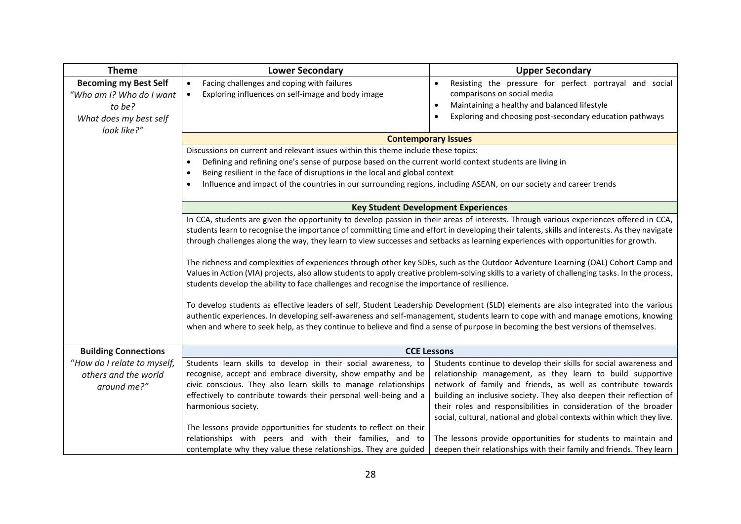| <b>Theme</b>                                                                                                | <b>Lower Secondary</b>                                                                                                                                                                                                                                                                                                                                                                                                                                                                                                                                                                                                                                                                                                                                                                                                                                                                                                                                                                                                                                                                                                                                                                                                                 | <b>Upper Secondary</b>                                                                                                                                                                                                                                                                                                                                                                                                |
|-------------------------------------------------------------------------------------------------------------|----------------------------------------------------------------------------------------------------------------------------------------------------------------------------------------------------------------------------------------------------------------------------------------------------------------------------------------------------------------------------------------------------------------------------------------------------------------------------------------------------------------------------------------------------------------------------------------------------------------------------------------------------------------------------------------------------------------------------------------------------------------------------------------------------------------------------------------------------------------------------------------------------------------------------------------------------------------------------------------------------------------------------------------------------------------------------------------------------------------------------------------------------------------------------------------------------------------------------------------|-----------------------------------------------------------------------------------------------------------------------------------------------------------------------------------------------------------------------------------------------------------------------------------------------------------------------------------------------------------------------------------------------------------------------|
| <b>Becoming my Best Self</b><br>"Who am I? Who do I want<br>to be?<br>What does my best self<br>look like?" | Facing challenges and coping with failures<br>$\bullet$<br>Exploring influences on self-image and body image<br>$\bullet$                                                                                                                                                                                                                                                                                                                                                                                                                                                                                                                                                                                                                                                                                                                                                                                                                                                                                                                                                                                                                                                                                                              | Resisting the pressure for perfect portrayal and social<br>$\bullet$<br>comparisons on social media<br>Maintaining a healthy and balanced lifestyle<br>$\bullet$<br>Exploring and choosing post-secondary education pathways<br>$\bullet$                                                                                                                                                                             |
|                                                                                                             |                                                                                                                                                                                                                                                                                                                                                                                                                                                                                                                                                                                                                                                                                                                                                                                                                                                                                                                                                                                                                                                                                                                                                                                                                                        | <b>Contemporary Issues</b>                                                                                                                                                                                                                                                                                                                                                                                            |
|                                                                                                             | Discussions on current and relevant issues within this theme include these topics:<br>Defining and refining one's sense of purpose based on the current world context students are living in<br>$\bullet$<br>Being resilient in the face of disruptions in the local and global context<br>$\bullet$<br>Influence and impact of the countries in our surrounding regions, including ASEAN, on our society and career trends<br>$\bullet$                                                                                                                                                                                                                                                                                                                                                                                                                                                                                                                                                                                                                                                                                                                                                                                               |                                                                                                                                                                                                                                                                                                                                                                                                                       |
|                                                                                                             | <b>Key Student Development Experiences</b>                                                                                                                                                                                                                                                                                                                                                                                                                                                                                                                                                                                                                                                                                                                                                                                                                                                                                                                                                                                                                                                                                                                                                                                             |                                                                                                                                                                                                                                                                                                                                                                                                                       |
|                                                                                                             | In CCA, students are given the opportunity to develop passion in their areas of interests. Through various experiences offered in CCA,<br>students learn to recognise the importance of committing time and effort in developing their talents, skills and interests. As they navigate<br>through challenges along the way, they learn to view successes and setbacks as learning experiences with opportunities for growth.<br>The richness and complexities of experiences through other key SDEs, such as the Outdoor Adventure Learning (OAL) Cohort Camp and<br>Values in Action (VIA) projects, also allow students to apply creative problem-solving skills to a variety of challenging tasks. In the process,<br>students develop the ability to face challenges and recognise the importance of resilience.<br>To develop students as effective leaders of self, Student Leadership Development (SLD) elements are also integrated into the various<br>authentic experiences. In developing self-awareness and self-management, students learn to cope with and manage emotions, knowing<br>when and where to seek help, as they continue to believe and find a sense of purpose in becoming the best versions of themselves. |                                                                                                                                                                                                                                                                                                                                                                                                                       |
| <b>Building Connections</b>                                                                                 | <b>CCE Lessons</b>                                                                                                                                                                                                                                                                                                                                                                                                                                                                                                                                                                                                                                                                                                                                                                                                                                                                                                                                                                                                                                                                                                                                                                                                                     |                                                                                                                                                                                                                                                                                                                                                                                                                       |
| "How do I relate to myself,<br>others and the world<br>around me?"                                          | Students learn skills to develop in their social awareness, to<br>recognise, accept and embrace diversity, show empathy and be<br>civic conscious. They also learn skills to manage relationships<br>effectively to contribute towards their personal well-being and a<br>harmonious society.                                                                                                                                                                                                                                                                                                                                                                                                                                                                                                                                                                                                                                                                                                                                                                                                                                                                                                                                          | Students continue to develop their skills for social awareness and<br>relationship management, as they learn to build supportive<br>network of family and friends, as well as contribute towards<br>building an inclusive society. They also deepen their reflection of<br>their roles and responsibilities in consideration of the broader<br>social, cultural, national and global contexts within which they live. |
|                                                                                                             | The lessons provide opportunities for students to reflect on their<br>relationships with peers and with their families, and to<br>contemplate why they value these relationships. They are guided                                                                                                                                                                                                                                                                                                                                                                                                                                                                                                                                                                                                                                                                                                                                                                                                                                                                                                                                                                                                                                      | The lessons provide opportunities for students to maintain and<br>deepen their relationships with their family and friends. They learn                                                                                                                                                                                                                                                                                |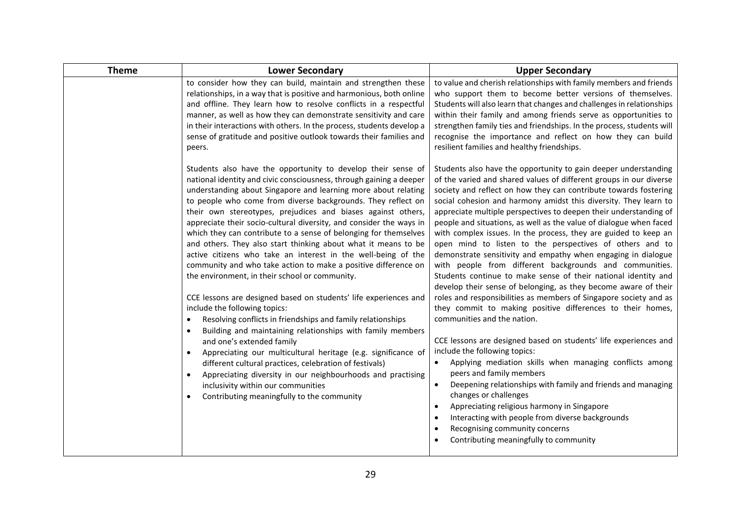| <b>Theme</b> | <b>Lower Secondary</b>                                                                                                                                                                                                                                                                                                                                                                                                                                                                                                                                                                                                                                                                                                                                                                                                                                                                                                                                                                                                                                                                                                                                                                                                                                                                                                                                 | <b>Upper Secondary</b>                                                                                                                                                                                                                                                                                                                                                                                                                                                                                                                                                                                                                                                                                                                                                                                                                                                                                                                                                                                                                                                                                                                                                                                                                                                                                                                                                                                                                                                                                                          |
|--------------|--------------------------------------------------------------------------------------------------------------------------------------------------------------------------------------------------------------------------------------------------------------------------------------------------------------------------------------------------------------------------------------------------------------------------------------------------------------------------------------------------------------------------------------------------------------------------------------------------------------------------------------------------------------------------------------------------------------------------------------------------------------------------------------------------------------------------------------------------------------------------------------------------------------------------------------------------------------------------------------------------------------------------------------------------------------------------------------------------------------------------------------------------------------------------------------------------------------------------------------------------------------------------------------------------------------------------------------------------------|---------------------------------------------------------------------------------------------------------------------------------------------------------------------------------------------------------------------------------------------------------------------------------------------------------------------------------------------------------------------------------------------------------------------------------------------------------------------------------------------------------------------------------------------------------------------------------------------------------------------------------------------------------------------------------------------------------------------------------------------------------------------------------------------------------------------------------------------------------------------------------------------------------------------------------------------------------------------------------------------------------------------------------------------------------------------------------------------------------------------------------------------------------------------------------------------------------------------------------------------------------------------------------------------------------------------------------------------------------------------------------------------------------------------------------------------------------------------------------------------------------------------------------|
|              | to consider how they can build, maintain and strengthen these<br>relationships, in a way that is positive and harmonious, both online<br>and offline. They learn how to resolve conflicts in a respectful<br>manner, as well as how they can demonstrate sensitivity and care<br>in their interactions with others. In the process, students develop a<br>sense of gratitude and positive outlook towards their families and<br>peers.                                                                                                                                                                                                                                                                                                                                                                                                                                                                                                                                                                                                                                                                                                                                                                                                                                                                                                                 | to value and cherish relationships with family members and friends<br>who support them to become better versions of themselves.<br>Students will also learn that changes and challenges in relationships<br>within their family and among friends serve as opportunities to<br>strengthen family ties and friendships. In the process, students will<br>recognise the importance and reflect on how they can build<br>resilient families and healthy friendships.                                                                                                                                                                                                                                                                                                                                                                                                                                                                                                                                                                                                                                                                                                                                                                                                                                                                                                                                                                                                                                                               |
|              | Students also have the opportunity to develop their sense of<br>national identity and civic consciousness, through gaining a deeper<br>understanding about Singapore and learning more about relating<br>to people who come from diverse backgrounds. They reflect on<br>their own stereotypes, prejudices and biases against others,<br>appreciate their socio-cultural diversity, and consider the ways in<br>which they can contribute to a sense of belonging for themselves<br>and others. They also start thinking about what it means to be<br>active citizens who take an interest in the well-being of the<br>community and who take action to make a positive difference on<br>the environment, in their school or community.<br>CCE lessons are designed based on students' life experiences and<br>include the following topics:<br>Resolving conflicts in friendships and family relationships<br>$\bullet$<br>Building and maintaining relationships with family members<br>$\bullet$<br>and one's extended family<br>Appreciating our multicultural heritage (e.g. significance of<br>$\bullet$<br>different cultural practices, celebration of festivals)<br>Appreciating diversity in our neighbourhoods and practising<br>$\bullet$<br>inclusivity within our communities<br>Contributing meaningfully to the community<br>$\bullet$ | Students also have the opportunity to gain deeper understanding<br>of the varied and shared values of different groups in our diverse<br>society and reflect on how they can contribute towards fostering<br>social cohesion and harmony amidst this diversity. They learn to<br>appreciate multiple perspectives to deepen their understanding of<br>people and situations, as well as the value of dialogue when faced<br>with complex issues. In the process, they are guided to keep an<br>open mind to listen to the perspectives of others and to<br>demonstrate sensitivity and empathy when engaging in dialogue<br>with people from different backgrounds and communities.<br>Students continue to make sense of their national identity and<br>develop their sense of belonging, as they become aware of their<br>roles and responsibilities as members of Singapore society and as<br>they commit to making positive differences to their homes,<br>communities and the nation.<br>CCE lessons are designed based on students' life experiences and<br>include the following topics:<br>Applying mediation skills when managing conflicts among<br>peers and family members<br>Deepening relationships with family and friends and managing<br>$\bullet$<br>changes or challenges<br>Appreciating religious harmony in Singapore<br>$\bullet$<br>Interacting with people from diverse backgrounds<br>$\bullet$<br>Recognising community concerns<br>$\bullet$<br>Contributing meaningfully to community<br>$\bullet$ |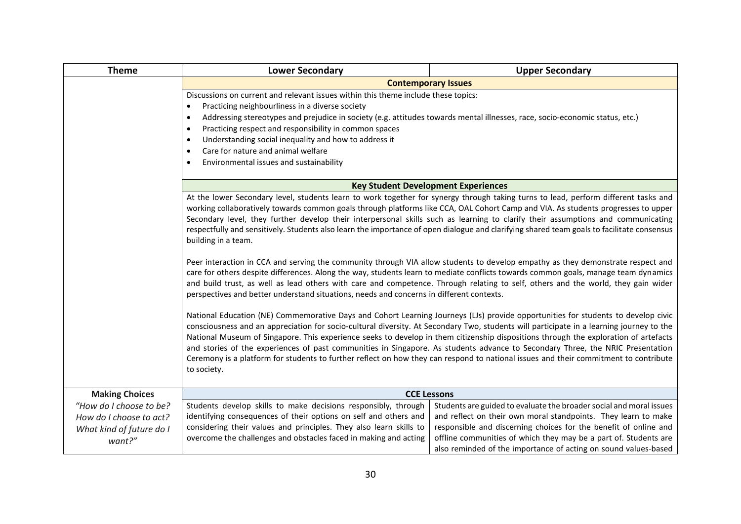| <b>Theme</b>             | <b>Lower Secondary</b>                                                                                                                                                                                                                                                                                                                                                                                                                                                                                                                                                                                                                                                                                         | <b>Upper Secondary</b>                                              |  |
|--------------------------|----------------------------------------------------------------------------------------------------------------------------------------------------------------------------------------------------------------------------------------------------------------------------------------------------------------------------------------------------------------------------------------------------------------------------------------------------------------------------------------------------------------------------------------------------------------------------------------------------------------------------------------------------------------------------------------------------------------|---------------------------------------------------------------------|--|
|                          | <b>Contemporary Issues</b>                                                                                                                                                                                                                                                                                                                                                                                                                                                                                                                                                                                                                                                                                     |                                                                     |  |
|                          | Discussions on current and relevant issues within this theme include these topics:                                                                                                                                                                                                                                                                                                                                                                                                                                                                                                                                                                                                                             |                                                                     |  |
|                          | Practicing neighbourliness in a diverse society<br>٠                                                                                                                                                                                                                                                                                                                                                                                                                                                                                                                                                                                                                                                           |                                                                     |  |
|                          | Addressing stereotypes and prejudice in society (e.g. attitudes towards mental illnesses, race, socio-economic status, etc.)<br>٠                                                                                                                                                                                                                                                                                                                                                                                                                                                                                                                                                                              |                                                                     |  |
|                          | Practicing respect and responsibility in common spaces<br>$\bullet$                                                                                                                                                                                                                                                                                                                                                                                                                                                                                                                                                                                                                                            |                                                                     |  |
|                          | Understanding social inequality and how to address it<br>٠                                                                                                                                                                                                                                                                                                                                                                                                                                                                                                                                                                                                                                                     |                                                                     |  |
|                          | Care for nature and animal welfare<br>$\bullet$                                                                                                                                                                                                                                                                                                                                                                                                                                                                                                                                                                                                                                                                |                                                                     |  |
|                          | Environmental issues and sustainability                                                                                                                                                                                                                                                                                                                                                                                                                                                                                                                                                                                                                                                                        |                                                                     |  |
|                          |                                                                                                                                                                                                                                                                                                                                                                                                                                                                                                                                                                                                                                                                                                                |                                                                     |  |
|                          |                                                                                                                                                                                                                                                                                                                                                                                                                                                                                                                                                                                                                                                                                                                | <b>Key Student Development Experiences</b>                          |  |
|                          | At the lower Secondary level, students learn to work together for synergy through taking turns to lead, perform different tasks and<br>working collaboratively towards common goals through platforms like CCA, OAL Cohort Camp and VIA. As students progresses to upper<br>Secondary level, they further develop their interpersonal skills such as learning to clarify their assumptions and communicating<br>respectfully and sensitively. Students also learn the importance of open dialogue and clarifying shared team goals to facilitate consensus<br>building in a team.                                                                                                                              |                                                                     |  |
|                          | Peer interaction in CCA and serving the community through VIA allow students to develop empathy as they demonstrate respect and<br>care for others despite differences. Along the way, students learn to mediate conflicts towards common goals, manage team dynamics<br>and build trust, as well as lead others with care and competence. Through relating to self, others and the world, they gain wider<br>perspectives and better understand situations, needs and concerns in different contexts.                                                                                                                                                                                                         |                                                                     |  |
|                          | National Education (NE) Commemorative Days and Cohort Learning Journeys (LJs) provide opportunities for students to develop civic<br>consciousness and an appreciation for socio-cultural diversity. At Secondary Two, students will participate in a learning journey to the<br>National Museum of Singapore. This experience seeks to develop in them citizenship dispositions through the exploration of artefacts<br>and stories of the experiences of past communities in Singapore. As students advance to Secondary Three, the NRIC Presentation<br>Ceremony is a platform for students to further reflect on how they can respond to national issues and their commitment to contribute<br>to society. |                                                                     |  |
| <b>Making Choices</b>    | <b>CCE Lessons</b>                                                                                                                                                                                                                                                                                                                                                                                                                                                                                                                                                                                                                                                                                             |                                                                     |  |
| "How do I choose to be?  | Students develop skills to make decisions responsibly, through                                                                                                                                                                                                                                                                                                                                                                                                                                                                                                                                                                                                                                                 | Students are guided to evaluate the broader social and moral issues |  |
| How do I choose to act?  | identifying consequences of their options on self and others and                                                                                                                                                                                                                                                                                                                                                                                                                                                                                                                                                                                                                                               | and reflect on their own moral standpoints. They learn to make      |  |
| What kind of future do I | considering their values and principles. They also learn skills to                                                                                                                                                                                                                                                                                                                                                                                                                                                                                                                                                                                                                                             | responsible and discerning choices for the benefit of online and    |  |
| want?"                   | overcome the challenges and obstacles faced in making and acting                                                                                                                                                                                                                                                                                                                                                                                                                                                                                                                                                                                                                                               | offline communities of which they may be a part of. Students are    |  |
|                          |                                                                                                                                                                                                                                                                                                                                                                                                                                                                                                                                                                                                                                                                                                                | also reminded of the importance of acting on sound values-based     |  |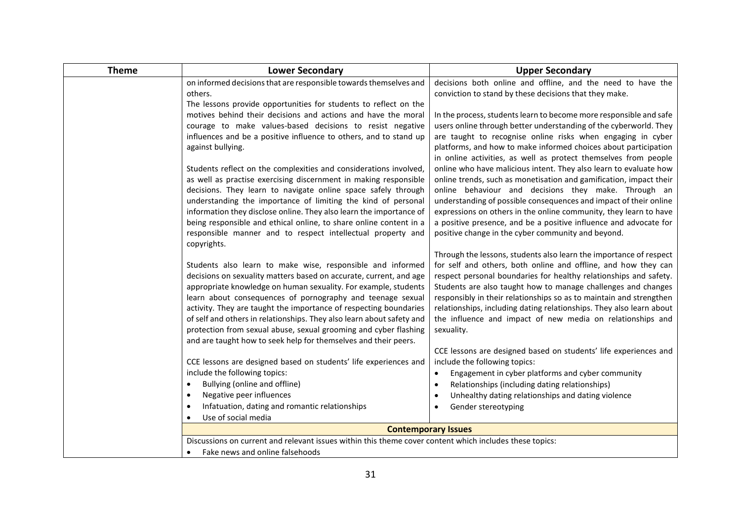| <b>Theme</b> | <b>Lower Secondary</b>                                                                                  | <b>Upper Secondary</b>                                                                                                               |
|--------------|---------------------------------------------------------------------------------------------------------|--------------------------------------------------------------------------------------------------------------------------------------|
|              | on informed decisions that are responsible towards themselves and                                       | decisions both online and offline, and the need to have the                                                                          |
|              | others.                                                                                                 | conviction to stand by these decisions that they make.                                                                               |
|              | The lessons provide opportunities for students to reflect on the                                        |                                                                                                                                      |
|              | motives behind their decisions and actions and have the moral                                           | In the process, students learn to become more responsible and safe                                                                   |
|              | courage to make values-based decisions to resist negative                                               | users online through better understanding of the cyberworld. They                                                                    |
|              | influences and be a positive influence to others, and to stand up                                       | are taught to recognise online risks when engaging in cyber                                                                          |
|              | against bullying.                                                                                       | platforms, and how to make informed choices about participation<br>in online activities, as well as protect themselves from people   |
|              | Students reflect on the complexities and considerations involved,                                       | online who have malicious intent. They also learn to evaluate how                                                                    |
|              | as well as practise exercising discernment in making responsible                                        | online trends, such as monetisation and gamification, impact their                                                                   |
|              | decisions. They learn to navigate online space safely through                                           | online behaviour and decisions they make. Through an                                                                                 |
|              | understanding the importance of limiting the kind of personal                                           | understanding of possible consequences and impact of their online                                                                    |
|              | information they disclose online. They also learn the importance of                                     | expressions on others in the online community, they learn to have                                                                    |
|              | being responsible and ethical online, to share online content in a                                      | a positive presence, and be a positive influence and advocate for                                                                    |
|              | responsible manner and to respect intellectual property and                                             | positive change in the cyber community and beyond.                                                                                   |
|              | copyrights.                                                                                             |                                                                                                                                      |
|              | Students also learn to make wise, responsible and informed                                              | Through the lessons, students also learn the importance of respect<br>for self and others, both online and offline, and how they can |
|              | decisions on sexuality matters based on accurate, current, and age                                      | respect personal boundaries for healthy relationships and safety.                                                                    |
|              | appropriate knowledge on human sexuality. For example, students                                         | Students are also taught how to manage challenges and changes                                                                        |
|              | learn about consequences of pornography and teenage sexual                                              | responsibly in their relationships so as to maintain and strengthen                                                                  |
|              | activity. They are taught the importance of respecting boundaries                                       | relationships, including dating relationships. They also learn about                                                                 |
|              | of self and others in relationships. They also learn about safety and                                   | the influence and impact of new media on relationships and                                                                           |
|              | protection from sexual abuse, sexual grooming and cyber flashing                                        | sexuality.                                                                                                                           |
|              | and are taught how to seek help for themselves and their peers.                                         |                                                                                                                                      |
|              |                                                                                                         | CCE lessons are designed based on students' life experiences and<br>include the following topics:                                    |
|              | CCE lessons are designed based on students' life experiences and<br>include the following topics:       | Engagement in cyber platforms and cyber community<br>$\bullet$                                                                       |
|              | Bullying (online and offline)<br>٠                                                                      | Relationships (including dating relationships)<br>$\bullet$                                                                          |
|              | Negative peer influences                                                                                | Unhealthy dating relationships and dating violence<br>$\bullet$                                                                      |
|              | Infatuation, dating and romantic relationships                                                          | Gender stereotyping                                                                                                                  |
|              | Use of social media                                                                                     |                                                                                                                                      |
|              |                                                                                                         | <b>Contemporary Issues</b>                                                                                                           |
|              | Discussions on current and relevant issues within this theme cover content which includes these topics: |                                                                                                                                      |
|              | Fake news and online falsehoods                                                                         |                                                                                                                                      |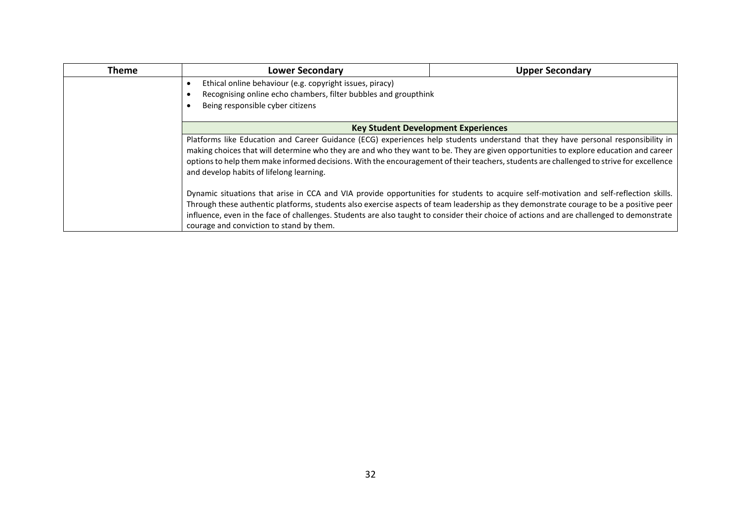| <b>Theme</b> | <b>Lower Secondary</b>                                                                                                                                                                                                                                                                                                                                                                                                                                                                                                                                                                                                                                                                                                                                                                                                                                                                                                                                                                        | <b>Upper Secondary</b> |
|--------------|-----------------------------------------------------------------------------------------------------------------------------------------------------------------------------------------------------------------------------------------------------------------------------------------------------------------------------------------------------------------------------------------------------------------------------------------------------------------------------------------------------------------------------------------------------------------------------------------------------------------------------------------------------------------------------------------------------------------------------------------------------------------------------------------------------------------------------------------------------------------------------------------------------------------------------------------------------------------------------------------------|------------------------|
|              | Ethical online behaviour (e.g. copyright issues, piracy)<br>Recognising online echo chambers, filter bubbles and groupthink<br>Being responsible cyber citizens                                                                                                                                                                                                                                                                                                                                                                                                                                                                                                                                                                                                                                                                                                                                                                                                                               |                        |
|              |                                                                                                                                                                                                                                                                                                                                                                                                                                                                                                                                                                                                                                                                                                                                                                                                                                                                                                                                                                                               |                        |
|              |                                                                                                                                                                                                                                                                                                                                                                                                                                                                                                                                                                                                                                                                                                                                                                                                                                                                                                                                                                                               |                        |
|              | <b>Key Student Development Experiences</b><br>Platforms like Education and Career Guidance (ECG) experiences help students understand that they have personal responsibility in<br>making choices that will determine who they are and who they want to be. They are given opportunities to explore education and career<br>options to help them make informed decisions. With the encouragement of their teachers, students are challenged to strive for excellence<br>and develop habits of lifelong learning.<br>Dynamic situations that arise in CCA and VIA provide opportunities for students to acquire self-motivation and self-reflection skills.<br>Through these authentic platforms, students also exercise aspects of team leadership as they demonstrate courage to be a positive peer<br>influence, even in the face of challenges. Students are also taught to consider their choice of actions and are challenged to demonstrate<br>courage and conviction to stand by them. |                        |
|              |                                                                                                                                                                                                                                                                                                                                                                                                                                                                                                                                                                                                                                                                                                                                                                                                                                                                                                                                                                                               |                        |
|              |                                                                                                                                                                                                                                                                                                                                                                                                                                                                                                                                                                                                                                                                                                                                                                                                                                                                                                                                                                                               |                        |
|              |                                                                                                                                                                                                                                                                                                                                                                                                                                                                                                                                                                                                                                                                                                                                                                                                                                                                                                                                                                                               |                        |